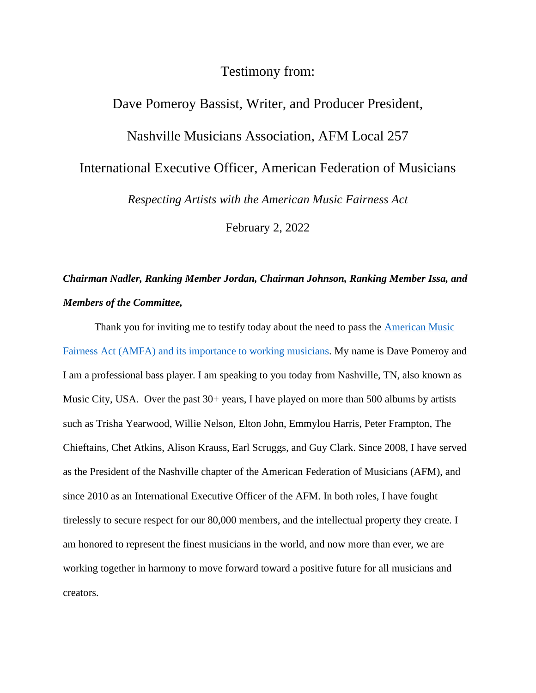## Testimony from:

## Dave Pomeroy Bassist, Writer, and Producer President, Nashville Musicians Association, AFM Local 257 International Executive Officer, American Federation of Musicians *Respecting Artists with the American Music Fairness Act* February 2, 2022

## *Chairman Nadler, Ranking Member Jordan, Chairman Johnson, Ranking Member Issa, and Members of the Committee,*

Thank you for inviting me to testify today about the need to pass the [American Music](https://www.congress.gov/bill/117th-congress/house-bill/4130?q=%7B%22search%22%3A%5B%22american+music+fairness+act%22%2C%22american%22%2C%22music%22%2C%22fairness%22%2C%22act%22%5D%7D&s=1&r=1)  [Fairness Act](https://www.congress.gov/bill/117th-congress/house-bill/4130?q=%7B%22search%22%3A%5B%22american+music+fairness+act%22%2C%22american%22%2C%22music%22%2C%22fairness%22%2C%22act%22%5D%7D&s=1&r=1) (AMFA) and its importance to working musicians. My name is Dave Pomeroy and I am a professional bass player. I am speaking to you today from Nashville, TN, also known as Music City, USA. Over the past 30+ years, I have played on more than 500 albums by artists such as Trisha Yearwood, Willie Nelson, Elton John, Emmylou Harris, Peter Frampton, The Chieftains, Chet Atkins, Alison Krauss, Earl Scruggs, and Guy Clark. Since 2008, I have served as the President of the Nashville chapter of the American Federation of Musicians (AFM), and since 2010 as an International Executive Officer of the AFM. In both roles, I have fought tirelessly to secure respect for our 80,000 members, and the intellectual property they create. I am honored to represent the finest musicians in the world, and now more than ever, we are working together in harmony to move forward toward a positive future for all musicians and creators.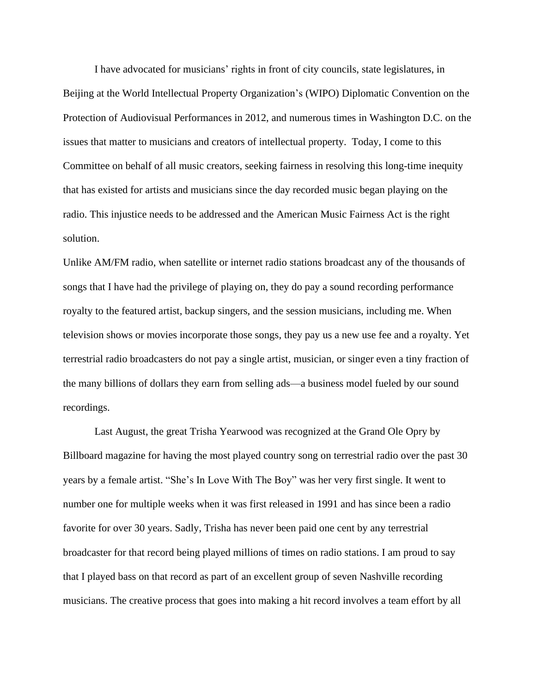I have advocated for musicians' rights in front of city councils, state legislatures, in Beijing at the World Intellectual Property Organization's (WIPO) Diplomatic Convention on the Protection of Audiovisual Performances in 2012, and numerous times in Washington D.C. on the issues that matter to musicians and creators of intellectual property. Today, I come to this Committee on behalf of all music creators, seeking fairness in resolving this long-time inequity that has existed for artists and musicians since the day recorded music began playing on the radio. This injustice needs to be addressed and the American Music Fairness Act is the right solution.

Unlike AM/FM radio, when satellite or internet radio stations broadcast any of the thousands of songs that I have had the privilege of playing on, they do pay a sound recording performance royalty to the featured artist, backup singers, and the session musicians, including me. When television shows or movies incorporate those songs, they pay us a new use fee and a royalty. Yet terrestrial radio broadcasters do not pay a single artist, musician, or singer even a tiny fraction of the many billions of dollars they earn from selling ads—a business model fueled by our sound recordings.

Last August, the great Trisha Yearwood was recognized at the Grand Ole Opry by Billboard magazine for having the most played country song on terrestrial radio over the past 30 years by a female artist. "She's In Love With The Boy" was her very first single. It went to number one for multiple weeks when it was first released in 1991 and has since been a radio favorite for over 30 years. Sadly, Trisha has never been paid one cent by any terrestrial broadcaster for that record being played millions of times on radio stations. I am proud to say that I played bass on that record as part of an excellent group of seven Nashville recording musicians. The creative process that goes into making a hit record involves a team effort by all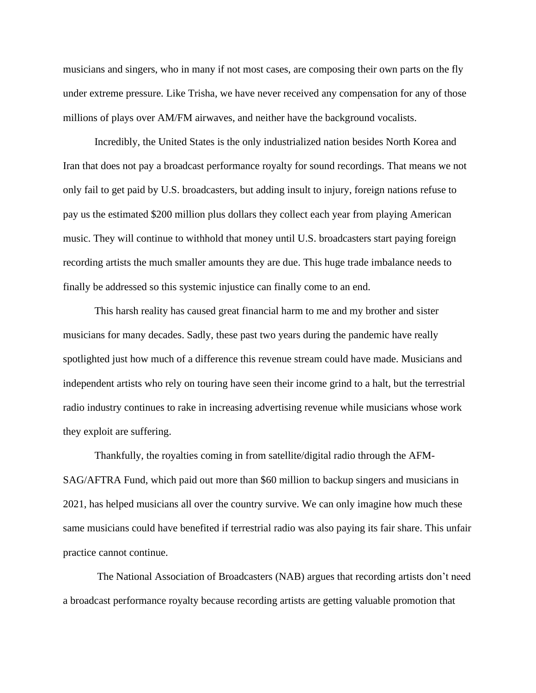musicians and singers, who in many if not most cases, are composing their own parts on the fly under extreme pressure. Like Trisha, we have never received any compensation for any of those millions of plays over AM/FM airwaves, and neither have the background vocalists.

Incredibly, the United States is the only industrialized nation besides North Korea and Iran that does not pay a broadcast performance royalty for sound recordings. That means we not only fail to get paid by U.S. broadcasters, but adding insult to injury, foreign nations refuse to pay us the estimated \$200 million plus dollars they collect each year from playing American music. They will continue to withhold that money until U.S. broadcasters start paying foreign recording artists the much smaller amounts they are due. This huge trade imbalance needs to finally be addressed so this systemic injustice can finally come to an end.

This harsh reality has caused great financial harm to me and my brother and sister musicians for many decades. Sadly, these past two years during the pandemic have really spotlighted just how much of a difference this revenue stream could have made. Musicians and independent artists who rely on touring have seen their income grind to a halt, but the terrestrial radio industry continues to rake in increasing advertising revenue while musicians whose work they exploit are suffering.

Thankfully, the royalties coming in from satellite/digital radio through the AFM-SAG/AFTRA Fund, which paid out more than \$60 million to backup singers and musicians in 2021, has helped musicians all over the country survive. We can only imagine how much these same musicians could have benefited if terrestrial radio was also paying its fair share. This unfair practice cannot continue.

The National Association of Broadcasters (NAB) argues that recording artists don't need a broadcast performance royalty because recording artists are getting valuable promotion that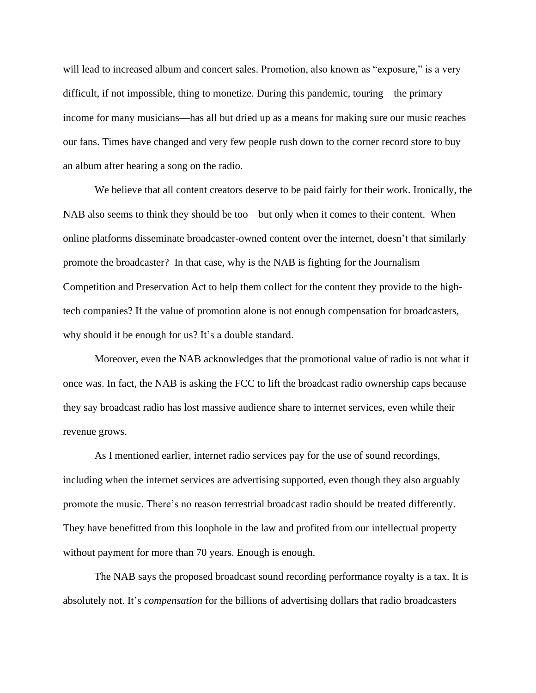will lead to increased album and concert sales. Promotion, also known as "exposure," is a very difficult, if not impossible, thing to monetize. During this pandemic, touring—the primary income for many musicians—has all but dried up as a means for making sure our music reaches our fans. Times have changed and very few people rush down to the corner record store to buy an album after hearing a song on the radio.

We believe that all content creators deserve to be paid fairly for their work. Ironically, the NAB also seems to think they should be too—but only when it comes to their content. When online platforms disseminate broadcaster-owned content over the internet, doesn't that similarly promote the broadcaster? In that case, why is the NAB is fighting for the Journalism Competition and Preservation Act to help them collect for the content they provide to the hightech companies? If the value of promotion alone is not enough compensation for broadcasters, why should it be enough for us? It's a double standard.

Moreover, even the NAB acknowledges that the promotional value of radio is not what it once was. In fact, the NAB is asking the FCC to lift the broadcast radio ownership caps because they say broadcast radio has lost massive audience share to internet services, even while their revenue grows.

As I mentioned earlier, internet radio services pay for the use of sound recordings, including when the internet services are advertising supported, even though they also arguably promote the music. There's no reason terrestrial broadcast radio should be treated differently. They have benefitted from this loophole in the law and profited from our intellectual property without payment for more than 70 years. Enough is enough.

The NAB says the proposed broadcast sound recording performance royalty is a tax. It is absolutely not. It's *compensation* for the billions of advertising dollars that radio broadcasters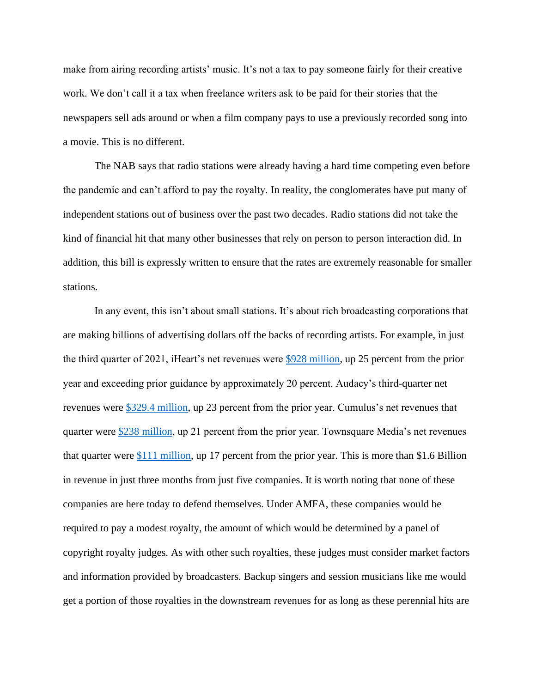make from airing recording artists' music. It's not a tax to pay someone fairly for their creative work. We don't call it a tax when freelance writers ask to be paid for their stories that the newspapers sell ads around or when a film company pays to use a previously recorded song into a movie. This is no different.

The NAB says that radio stations were already having a hard time competing even before the pandemic and can't afford to pay the royalty. In reality, the conglomerates have put many of independent stations out of business over the past two decades. Radio stations did not take the kind of financial hit that many other businesses that rely on person to person interaction did. In addition, this bill is expressly written to ensure that the rates are extremely reasonable for smaller stations.

In any event, this isn't about small stations. It's about rich broadcasting corporations that are making billions of advertising dollars off the backs of recording artists. For example, in just the third quarter of 2021, iHeart's net revenues were [\\$928 million,](https://investors.iheartmedia.com/news/news-details/2021/iHeartMedia-Inc.-Reports-Results-for-2021-Third-Quarter/default.aspx) up 25 percent from the prior year and exceeding prior guidance by approximately 20 percent. Audacy's third-quarter net revenues were [\\$329.4 million,](https://www.businesswire.com/news/home/20211109005396/en/Audacy-Reports-Third-Quarter-Results) up 23 percent from the prior year. Cumulus's net revenues that quarter were [\\$238 million,](https://www.cumulusmedia.com/wp-content/uploads/2021/11/CMLS-2021.9.30-Earnings-Release-FINAL.pdf) up 21 percent from the prior year. Townsquare Media's net revenues that quarter were [\\$111 million,](https://www.prnewswire.com/news-releases/townsquare-reports-strong-third-quarter-net-revenue-99-of-q3-2019-and-adjusted-ebitda-104-of-q3-2019-301413470.html) up 17 percent from the prior year. This is more than \$1.6 Billion in revenue in just three months from just five companies. It is worth noting that none of these companies are here today to defend themselves. Under AMFA, these companies would be required to pay a modest royalty, the amount of which would be determined by a panel of copyright royalty judges. As with other such royalties, these judges must consider market factors and information provided by broadcasters. Backup singers and session musicians like me would get a portion of those royalties in the downstream revenues for as long as these perennial hits are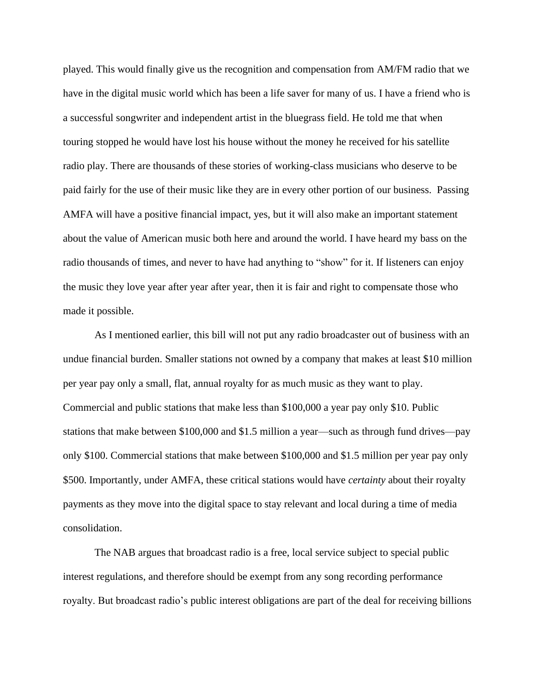played. This would finally give us the recognition and compensation from AM/FM radio that we have in the digital music world which has been a life saver for many of us. I have a friend who is a successful songwriter and independent artist in the bluegrass field. He told me that when touring stopped he would have lost his house without the money he received for his satellite radio play. There are thousands of these stories of working-class musicians who deserve to be paid fairly for the use of their music like they are in every other portion of our business. Passing AMFA will have a positive financial impact, yes, but it will also make an important statement about the value of American music both here and around the world. I have heard my bass on the radio thousands of times, and never to have had anything to "show" for it. If listeners can enjoy the music they love year after year after year, then it is fair and right to compensate those who made it possible.

As I mentioned earlier, this bill will not put any radio broadcaster out of business with an undue financial burden. Smaller stations not owned by a company that makes at least \$10 million per year pay only a small, flat, annual royalty for as much music as they want to play. Commercial and public stations that make less than \$100,000 a year pay only \$10. Public stations that make between \$100,000 and \$1.5 million a year—such as through fund drives—pay only \$100. Commercial stations that make between \$100,000 and \$1.5 million per year pay only \$500. Importantly, under AMFA, these critical stations would have *certainty* about their royalty payments as they move into the digital space to stay relevant and local during a time of media consolidation.

The NAB argues that broadcast radio is a free, local service subject to special public interest regulations, and therefore should be exempt from any song recording performance royalty. But broadcast radio's public interest obligations are part of the deal for receiving billions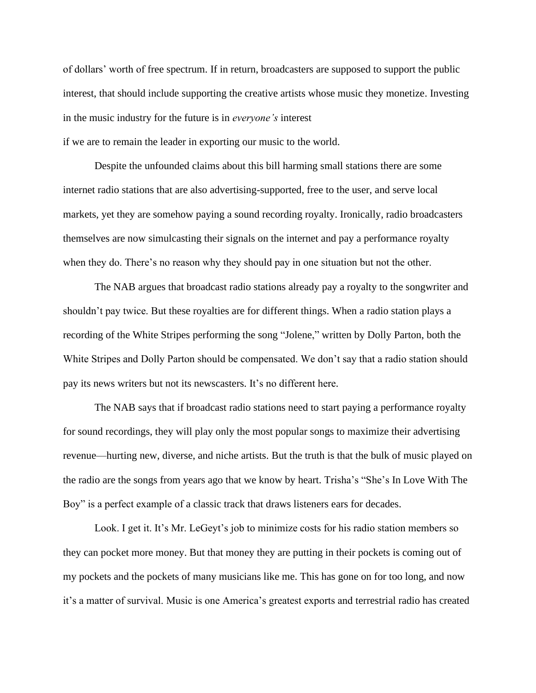of dollars' worth of free spectrum. If in return, broadcasters are supposed to support the public interest, that should include supporting the creative artists whose music they monetize. Investing in the music industry for the future is in *everyone's* interest if we are to remain the leader in exporting our music to the world.

Despite the unfounded claims about this bill harming small stations there are some internet radio stations that are also advertising-supported, free to the user, and serve local markets, yet they are somehow paying a sound recording royalty. Ironically, radio broadcasters themselves are now simulcasting their signals on the internet and pay a performance royalty when they do. There's no reason why they should pay in one situation but not the other.

The NAB argues that broadcast radio stations already pay a royalty to the songwriter and shouldn't pay twice. But these royalties are for different things. When a radio station plays a recording of the White Stripes performing the song "Jolene," written by Dolly Parton, both the White Stripes and Dolly Parton should be compensated. We don't say that a radio station should pay its news writers but not its newscasters. It's no different here.

The NAB says that if broadcast radio stations need to start paying a performance royalty for sound recordings, they will play only the most popular songs to maximize their advertising revenue—hurting new, diverse, and niche artists. But the truth is that the bulk of music played on the radio are the songs from years ago that we know by heart. Trisha's "She's In Love With The Boy" is a perfect example of a classic track that draws listeners ears for decades.

Look. I get it. It's Mr. LeGeyt's job to minimize costs for his radio station members so they can pocket more money. But that money they are putting in their pockets is coming out of my pockets and the pockets of many musicians like me. This has gone on for too long, and now it's a matter of survival. Music is one America's greatest exports and terrestrial radio has created